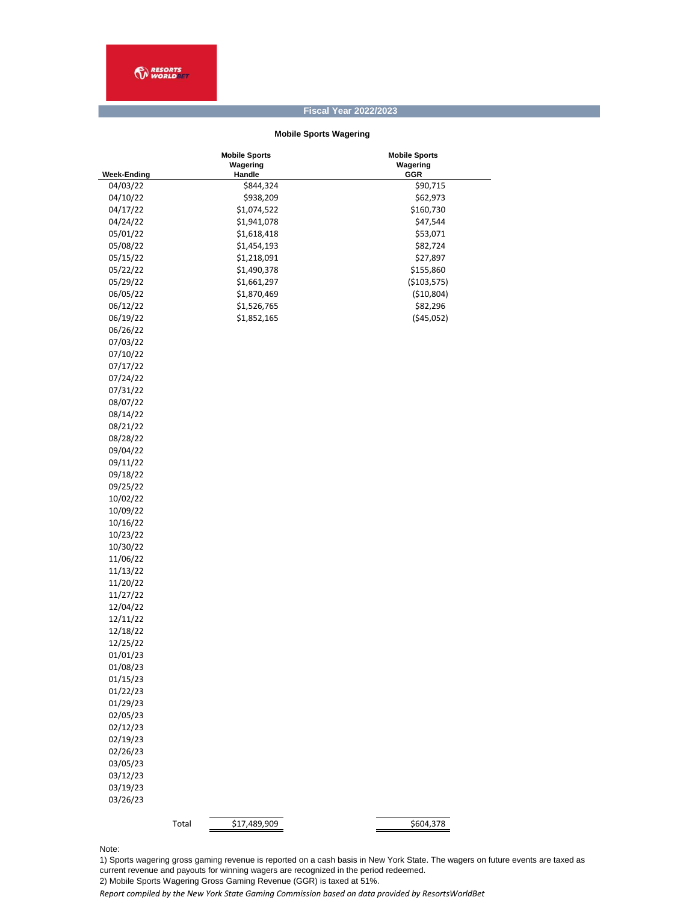## **Fiscal Year 2022/2023**

## **Mobile Sports Wagering**

|                      | <b>Mobile Sports</b><br>Wagering | <b>Mobile Sports</b><br>Wagering |
|----------------------|----------------------------------|----------------------------------|
| <b>Week-Ending</b>   | Handle                           | GGR                              |
| 04/03/22<br>04/10/22 | \$844,324                        | \$90,715                         |
|                      | \$938,209                        | \$62,973                         |
| 04/17/22             | \$1,074,522                      | \$160,730                        |
| 04/24/22             | \$1,941,078                      | \$47,544                         |
| 05/01/22             | \$1,618,418                      | \$53,071                         |
| 05/08/22             | \$1,454,193                      | \$82,724                         |
| 05/15/22             | \$1,218,091                      | \$27,897                         |
| 05/22/22             | \$1,490,378                      | \$155,860                        |
| 05/29/22             | \$1,661,297                      | ( \$103,575)                     |
| 06/05/22             | \$1,870,469                      | ( \$10,804)                      |
| 06/12/22             | \$1,526,765                      | \$82,296                         |
| 06/19/22             | \$1,852,165                      | ( \$45,052)                      |
| 06/26/22             |                                  |                                  |
| 07/03/22             |                                  |                                  |
| 07/10/22             |                                  |                                  |
| 07/17/22             |                                  |                                  |
| 07/24/22             |                                  |                                  |
| 07/31/22             |                                  |                                  |
| 08/07/22             |                                  |                                  |
| 08/14/22             |                                  |                                  |
| 08/21/22             |                                  |                                  |
| 08/28/22             |                                  |                                  |
| 09/04/22             |                                  |                                  |
| 09/11/22             |                                  |                                  |
| 09/18/22             |                                  |                                  |
| 09/25/22             |                                  |                                  |
| 10/02/22             |                                  |                                  |
| 10/09/22             |                                  |                                  |
| 10/16/22             |                                  |                                  |
| 10/23/22             |                                  |                                  |
| 10/30/22             |                                  |                                  |
| 11/06/22             |                                  |                                  |
|                      |                                  |                                  |
| 11/13/22             |                                  |                                  |
| 11/20/22             |                                  |                                  |
| 11/27/22             |                                  |                                  |
| 12/04/22             |                                  |                                  |
| 12/11/22             |                                  |                                  |
| 12/18/22             |                                  |                                  |
| 12/25/22             |                                  |                                  |
| 01/01/23             |                                  |                                  |
| 01/08/23             |                                  |                                  |
| 01/15/23             |                                  |                                  |
| 01/22/23             |                                  |                                  |
| 01/29/23             |                                  |                                  |
| 02/05/23             |                                  |                                  |
| 02/12/23             |                                  |                                  |
| 02/19/23             |                                  |                                  |
| 02/26/23             |                                  |                                  |
| 03/05/23             |                                  |                                  |
| 03/12/23             |                                  |                                  |
| 03/19/23             |                                  |                                  |
| 03/26/23             |                                  |                                  |
|                      |                                  |                                  |
|                      | Total<br>\$17,489,909            | 5604,378                         |

Note:

1) Sports wagering gross gaming revenue is reported on a cash basis in New York State. The wagers on future events are taxed as current revenue and payouts for winning wagers are recognized in the period redeemed.

2) Mobile Sports Wagering Gross Gaming Revenue (GGR) is taxed at 51%.

*Report compiled by the New York State Gaming Commission based on data provided by ResortsWorldBet*